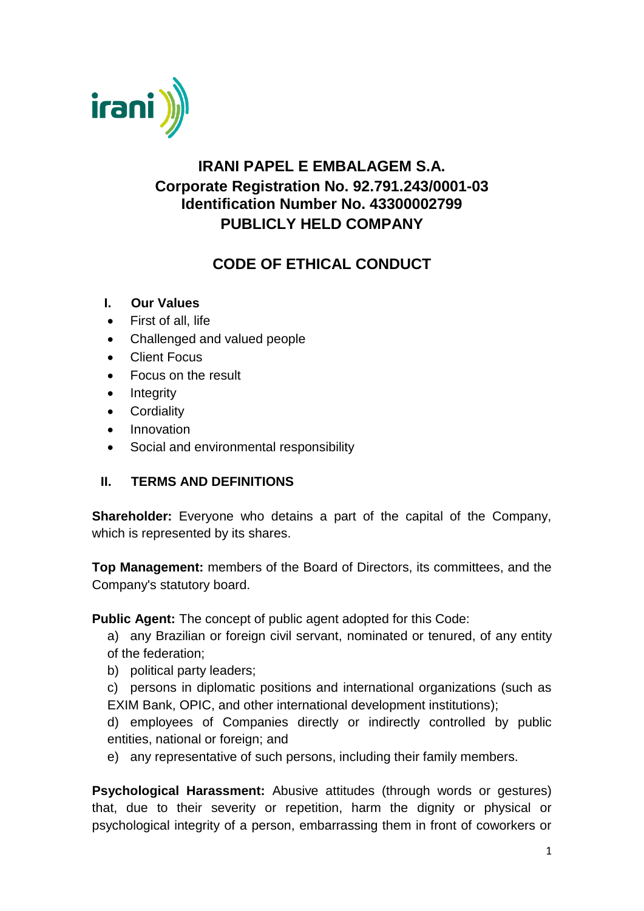

# **IRANI PAPEL E EMBALAGEM S.A. Corporate Registration No. 92.791.243/0001-03 Identification Number No. 43300002799 PUBLICLY HELD COMPANY**

# **CODE OF ETHICAL CONDUCT**

- **I. Our Values**
- First of all, life
- Challenged and valued people
- Client Focus
- Focus on the result
- Integrity
- **•** Cordiality
- Innovation
- Social and environmental responsibility

# **II. TERMS AND DEFINITIONS**

**Shareholder:** Everyone who detains a part of the capital of the Company, which is represented by its shares.

**Top Management:** members of the Board of Directors, its committees, and the Company's statutory board.

**Public Agent:** The concept of public agent adopted for this Code:

- a) any Brazilian or foreign civil servant, nominated or tenured, of any entity of the federation;
- b) political party leaders;
- c) persons in diplomatic positions and international organizations (such as EXIM Bank, OPIC, and other international development institutions);
- d) employees of Companies directly or indirectly controlled by public entities, national or foreign; and
- e) any representative of such persons, including their family members.

**Psychological Harassment:** Abusive attitudes (through words or gestures) that, due to their severity or repetition, harm the dignity or physical or psychological integrity of a person, embarrassing them in front of coworkers or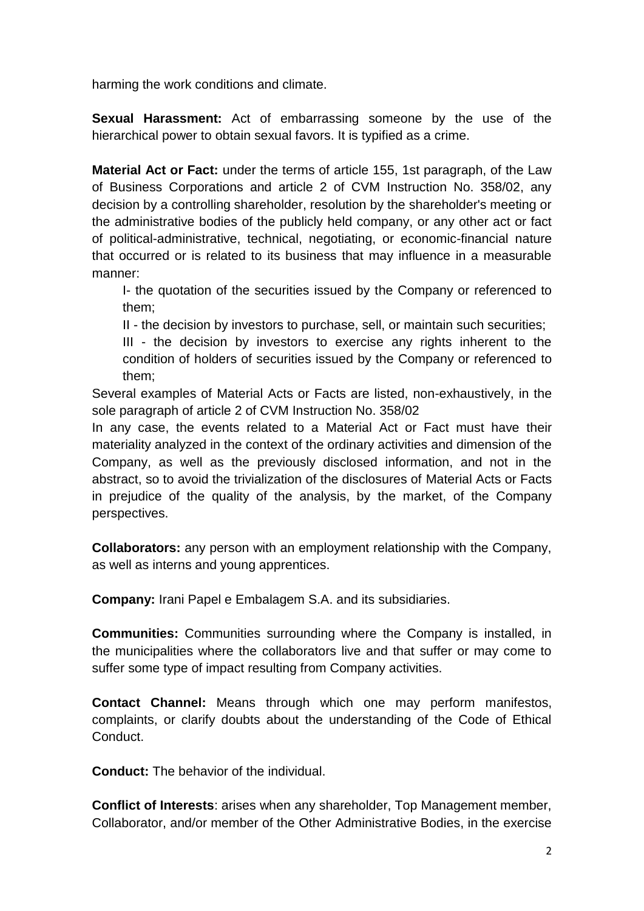harming the work conditions and climate.

**Sexual Harassment:** Act of embarrassing someone by the use of the hierarchical power to obtain sexual favors. It is typified as a crime.

**Material Act or Fact:** under the terms of article 155, 1st paragraph, of the Law of Business Corporations and article 2 of CVM Instruction No. 358/02, any decision by a controlling shareholder, resolution by the shareholder's meeting or the administrative bodies of the publicly held company, or any other act or fact of political-administrative, technical, negotiating, or economic-financial nature that occurred or is related to its business that may influence in a measurable manner:

I- the quotation of the securities issued by the Company or referenced to them;

II - the decision by investors to purchase, sell, or maintain such securities;

III - the decision by investors to exercise any rights inherent to the condition of holders of securities issued by the Company or referenced to them;

Several examples of Material Acts or Facts are listed, non-exhaustively, in the sole paragraph of article 2 of CVM Instruction No. 358/02

In any case, the events related to a Material Act or Fact must have their materiality analyzed in the context of the ordinary activities and dimension of the Company, as well as the previously disclosed information, and not in the abstract, so to avoid the trivialization of the disclosures of Material Acts or Facts in prejudice of the quality of the analysis, by the market, of the Company perspectives.

**Collaborators:** any person with an employment relationship with the Company, as well as interns and young apprentices.

**Company:** Irani Papel e Embalagem S.A. and its subsidiaries.

**Communities:** Communities surrounding where the Company is installed, in the municipalities where the collaborators live and that suffer or may come to suffer some type of impact resulting from Company activities.

**Contact Channel:** Means through which one may perform manifestos, complaints, or clarify doubts about the understanding of the Code of Ethical Conduct.

**Conduct:** The behavior of the individual.

**Conflict of Interests**: arises when any shareholder, Top Management member, Collaborator, and/or member of the Other Administrative Bodies, in the exercise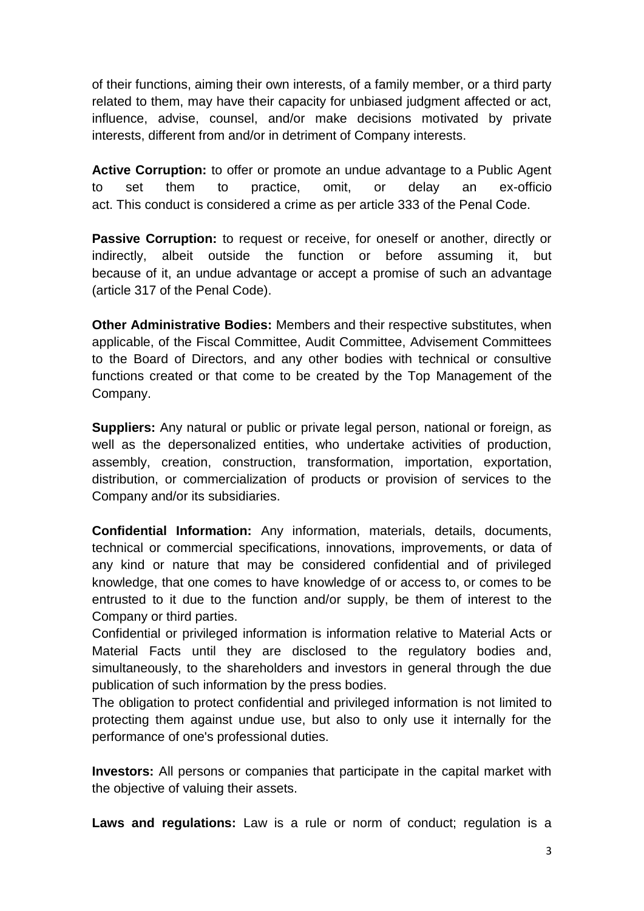of their functions, aiming their own interests, of a family member, or a third party related to them, may have their capacity for unbiased judgment affected or act, influence, advise, counsel, and/or make decisions motivated by private interests, different from and/or in detriment of Company interests.

**Active Corruption:** to offer or promote an undue advantage to a Public Agent to set them to practice, omit, or delay an ex-officio act. This conduct is considered a crime as per article 333 of the Penal Code.

**Passive Corruption:** to request or receive, for oneself or another, directly or indirectly, albeit outside the function or before assuming it, but because of it, an undue advantage or accept a promise of such an advantage (article 317 of the Penal Code).

**Other Administrative Bodies:** Members and their respective substitutes, when applicable, of the Fiscal Committee, Audit Committee, Advisement Committees to the Board of Directors, and any other bodies with technical or consultive functions created or that come to be created by the Top Management of the Company.

**Suppliers:** Any natural or public or private legal person, national or foreign, as well as the depersonalized entities, who undertake activities of production, assembly, creation, construction, transformation, importation, exportation, distribution, or commercialization of products or provision of services to the Company and/or its subsidiaries.

**Confidential Information:** Any information, materials, details, documents, technical or commercial specifications, innovations, improvements, or data of any kind or nature that may be considered confidential and of privileged knowledge, that one comes to have knowledge of or access to, or comes to be entrusted to it due to the function and/or supply, be them of interest to the Company or third parties.

Confidential or privileged information is information relative to Material Acts or Material Facts until they are disclosed to the regulatory bodies and, simultaneously, to the shareholders and investors in general through the due publication of such information by the press bodies.

The obligation to protect confidential and privileged information is not limited to protecting them against undue use, but also to only use it internally for the performance of one's professional duties.

**Investors:** All persons or companies that participate in the capital market with the objective of valuing their assets.

**Laws and regulations:** Law is a rule or norm of conduct; regulation is a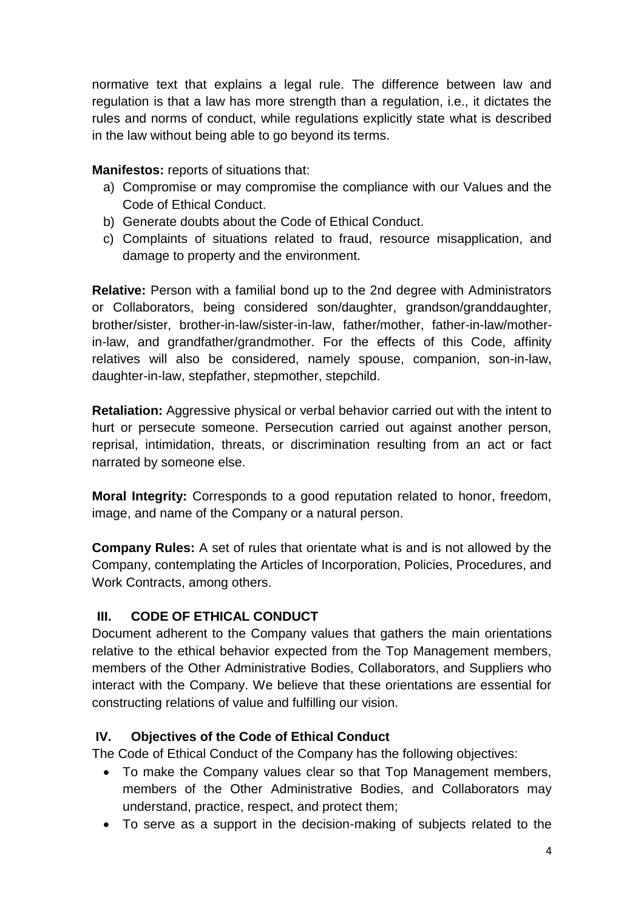normative text that explains a legal rule. The difference between law and regulation is that a law has more strength than a regulation, i.e., it dictates the rules and norms of conduct, while regulations explicitly state what is described in the law without being able to go beyond its terms.

**Manifestos:** reports of situations that:

- a) Compromise or may compromise the compliance with our Values and the Code of Ethical Conduct.
- b) Generate doubts about the Code of Ethical Conduct.
- c) Complaints of situations related to fraud, resource misapplication, and damage to property and the environment.

**Relative:** Person with a familial bond up to the 2nd degree with Administrators or Collaborators, being considered son/daughter, grandson/granddaughter, brother/sister, brother-in-law/sister-in-law, father/mother, father-in-law/motherin-law, and grandfather/grandmother. For the effects of this Code, affinity relatives will also be considered, namely spouse, companion, son-in-law, daughter-in-law, stepfather, stepmother, stepchild.

**Retaliation:** Aggressive physical or verbal behavior carried out with the intent to hurt or persecute someone. Persecution carried out against another person, reprisal, intimidation, threats, or discrimination resulting from an act or fact narrated by someone else.

**Moral Integrity:** Corresponds to a good reputation related to honor, freedom, image, and name of the Company or a natural person.

**Company Rules:** A set of rules that orientate what is and is not allowed by the Company, contemplating the Articles of Incorporation, Policies, Procedures, and Work Contracts, among others.

# **III. CODE OF ETHICAL CONDUCT**

Document adherent to the Company values that gathers the main orientations relative to the ethical behavior expected from the Top Management members, members of the Other Administrative Bodies, Collaborators, and Suppliers who interact with the Company. We believe that these orientations are essential for constructing relations of value and fulfilling our vision.

# **IV. Objectives of the Code of Ethical Conduct**

The Code of Ethical Conduct of the Company has the following objectives:

- To make the Company values clear so that Top Management members, members of the Other Administrative Bodies, and Collaborators may understand, practice, respect, and protect them;
- To serve as a support in the decision-making of subjects related to the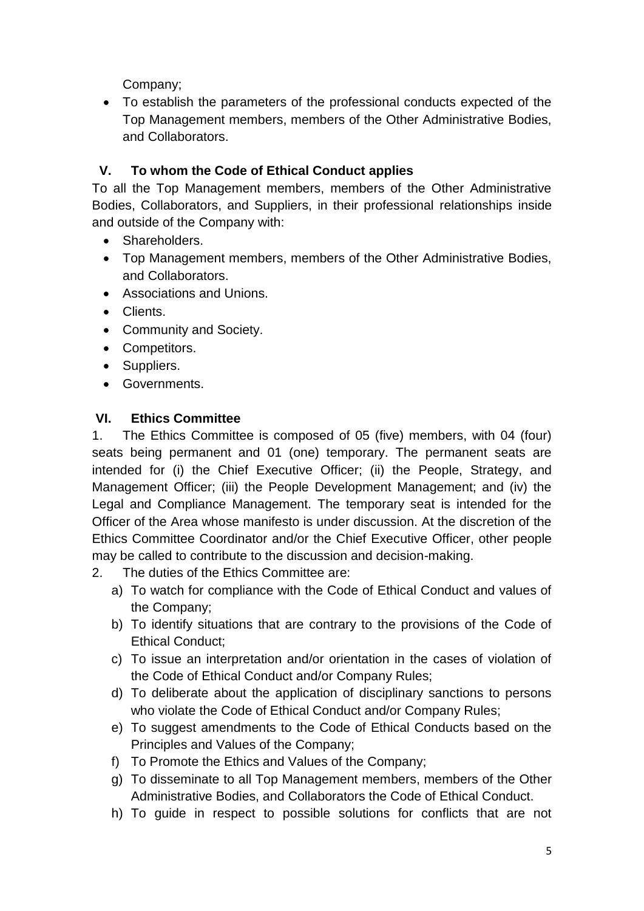Company;

 To establish the parameters of the professional conducts expected of the Top Management members, members of the Other Administrative Bodies, and Collaborators.

# **V. To whom the Code of Ethical Conduct applies**

To all the Top Management members, members of the Other Administrative Bodies, Collaborators, and Suppliers, in their professional relationships inside and outside of the Company with:

- Shareholders.
- Top Management members, members of the Other Administrative Bodies, and Collaborators.
- Associations and Unions.
- Clients.
- Community and Society.
- Competitors.
- Suppliers.
- Governments.

# **VI. Ethics Committee**

1. The Ethics Committee is composed of 05 (five) members, with 04 (four) seats being permanent and 01 (one) temporary. The permanent seats are intended for (i) the Chief Executive Officer; (ii) the People, Strategy, and Management Officer; (iii) the People Development Management; and (iv) the Legal and Compliance Management. The temporary seat is intended for the Officer of the Area whose manifesto is under discussion. At the discretion of the Ethics Committee Coordinator and/or the Chief Executive Officer, other people may be called to contribute to the discussion and decision-making.

- 2. The duties of the Ethics Committee are:
	- a) To watch for compliance with the Code of Ethical Conduct and values of the Company;
	- b) To identify situations that are contrary to the provisions of the Code of Ethical Conduct;
	- c) To issue an interpretation and/or orientation in the cases of violation of the Code of Ethical Conduct and/or Company Rules;
	- d) To deliberate about the application of disciplinary sanctions to persons who violate the Code of Ethical Conduct and/or Company Rules;
	- e) To suggest amendments to the Code of Ethical Conducts based on the Principles and Values of the Company;
	- f) To Promote the Ethics and Values of the Company;
	- g) To disseminate to all Top Management members, members of the Other Administrative Bodies, and Collaborators the Code of Ethical Conduct.
	- h) To guide in respect to possible solutions for conflicts that are not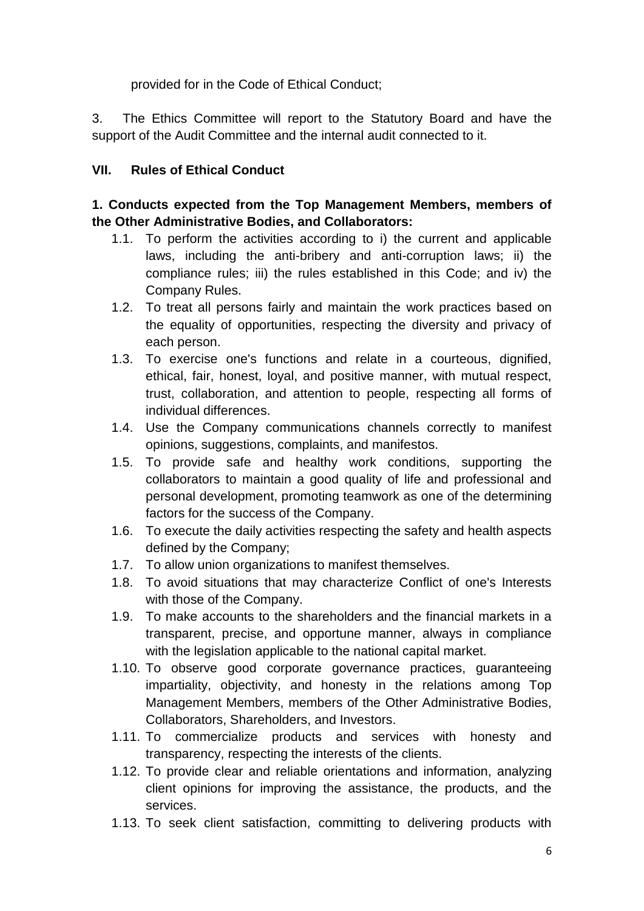provided for in the Code of Ethical Conduct;

3. The Ethics Committee will report to the Statutory Board and have the support of the Audit Committee and the internal audit connected to it.

### **VII. Rules of Ethical Conduct**

#### **1. Conducts expected from the Top Management Members, members of the Other Administrative Bodies, and Collaborators:**

- 1.1. To perform the activities according to i) the current and applicable laws, including the anti-bribery and anti-corruption laws; ii) the compliance rules; iii) the rules established in this Code; and iv) the Company Rules.
- 1.2. To treat all persons fairly and maintain the work practices based on the equality of opportunities, respecting the diversity and privacy of each person.
- 1.3. To exercise one's functions and relate in a courteous, dignified, ethical, fair, honest, loyal, and positive manner, with mutual respect, trust, collaboration, and attention to people, respecting all forms of individual differences.
- 1.4. Use the Company communications channels correctly to manifest opinions, suggestions, complaints, and manifestos.
- 1.5. To provide safe and healthy work conditions, supporting the collaborators to maintain a good quality of life and professional and personal development, promoting teamwork as one of the determining factors for the success of the Company.
- 1.6. To execute the daily activities respecting the safety and health aspects defined by the Company;
- 1.7. To allow union organizations to manifest themselves.
- 1.8. To avoid situations that may characterize Conflict of one's Interests with those of the Company.
- 1.9. To make accounts to the shareholders and the financial markets in a transparent, precise, and opportune manner, always in compliance with the legislation applicable to the national capital market.
- 1.10. To observe good corporate governance practices, guaranteeing impartiality, objectivity, and honesty in the relations among Top Management Members, members of the Other Administrative Bodies, Collaborators, Shareholders, and Investors.
- 1.11. To commercialize products and services with honesty and transparency, respecting the interests of the clients.
- 1.12. To provide clear and reliable orientations and information, analyzing client opinions for improving the assistance, the products, and the services.
- 1.13. To seek client satisfaction, committing to delivering products with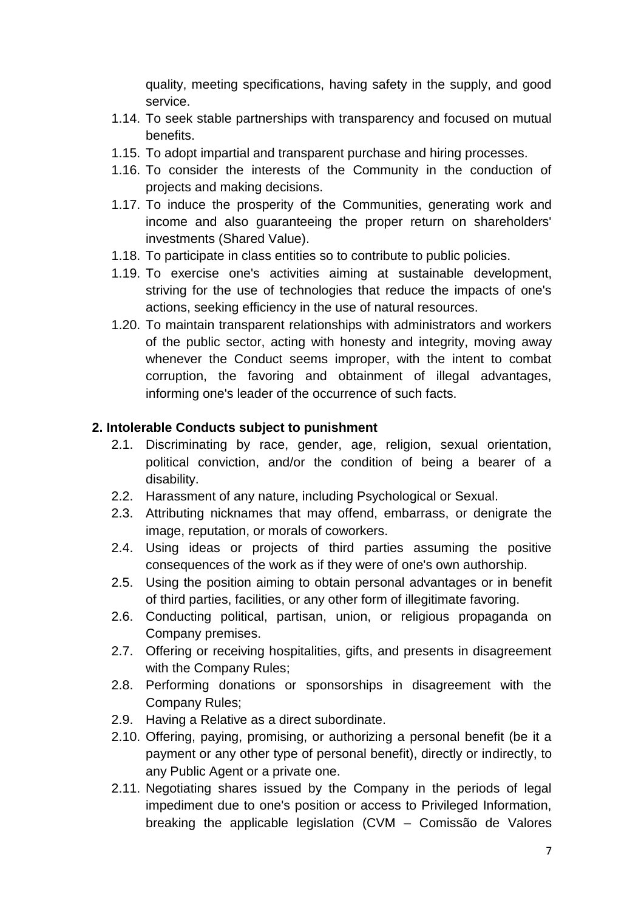quality, meeting specifications, having safety in the supply, and good service.

- 1.14. To seek stable partnerships with transparency and focused on mutual benefits.
- 1.15. To adopt impartial and transparent purchase and hiring processes.
- 1.16. To consider the interests of the Community in the conduction of projects and making decisions.
- 1.17. To induce the prosperity of the Communities, generating work and income and also guaranteeing the proper return on shareholders' investments (Shared Value).
- 1.18. To participate in class entities so to contribute to public policies.
- 1.19. To exercise one's activities aiming at sustainable development, striving for the use of technologies that reduce the impacts of one's actions, seeking efficiency in the use of natural resources.
- 1.20. To maintain transparent relationships with administrators and workers of the public sector, acting with honesty and integrity, moving away whenever the Conduct seems improper, with the intent to combat corruption, the favoring and obtainment of illegal advantages, informing one's leader of the occurrence of such facts.

#### **2. Intolerable Conducts subject to punishment**

- 2.1. Discriminating by race, gender, age, religion, sexual orientation, political conviction, and/or the condition of being a bearer of a disability.
- 2.2. Harassment of any nature, including Psychological or Sexual.
- 2.3. Attributing nicknames that may offend, embarrass, or denigrate the image, reputation, or morals of coworkers.
- 2.4. Using ideas or projects of third parties assuming the positive consequences of the work as if they were of one's own authorship.
- 2.5. Using the position aiming to obtain personal advantages or in benefit of third parties, facilities, or any other form of illegitimate favoring.
- 2.6. Conducting political, partisan, union, or religious propaganda on Company premises.
- 2.7. Offering or receiving hospitalities, gifts, and presents in disagreement with the Company Rules;
- 2.8. Performing donations or sponsorships in disagreement with the Company Rules;
- 2.9. Having a Relative as a direct subordinate.
- 2.10. Offering, paying, promising, or authorizing a personal benefit (be it a payment or any other type of personal benefit), directly or indirectly, to any Public Agent or a private one.
- 2.11. Negotiating shares issued by the Company in the periods of legal impediment due to one's position or access to Privileged Information, breaking the applicable legislation (CVM – Comissão de Valores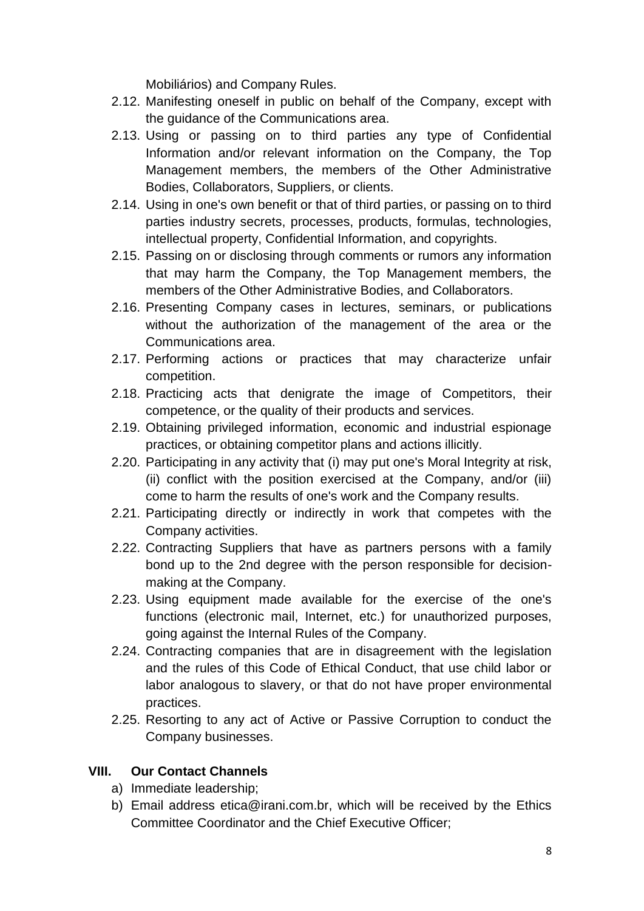Mobiliários) and Company Rules.

- 2.12. Manifesting oneself in public on behalf of the Company, except with the guidance of the Communications area.
- 2.13. Using or passing on to third parties any type of Confidential Information and/or relevant information on the Company, the Top Management members, the members of the Other Administrative Bodies, Collaborators, Suppliers, or clients.
- 2.14. Using in one's own benefit or that of third parties, or passing on to third parties industry secrets, processes, products, formulas, technologies, intellectual property, Confidential Information, and copyrights.
- 2.15. Passing on or disclosing through comments or rumors any information that may harm the Company, the Top Management members, the members of the Other Administrative Bodies, and Collaborators.
- 2.16. Presenting Company cases in lectures, seminars, or publications without the authorization of the management of the area or the Communications area.
- 2.17. Performing actions or practices that may characterize unfair competition.
- 2.18. Practicing acts that denigrate the image of Competitors, their competence, or the quality of their products and services.
- 2.19. Obtaining privileged information, economic and industrial espionage practices, or obtaining competitor plans and actions illicitly.
- 2.20. Participating in any activity that (i) may put one's Moral Integrity at risk, (ii) conflict with the position exercised at the Company, and/or (iii) come to harm the results of one's work and the Company results.
- 2.21. Participating directly or indirectly in work that competes with the Company activities.
- 2.22. Contracting Suppliers that have as partners persons with a family bond up to the 2nd degree with the person responsible for decisionmaking at the Company.
- 2.23. Using equipment made available for the exercise of the one's functions (electronic mail, Internet, etc.) for unauthorized purposes, going against the Internal Rules of the Company.
- 2.24. Contracting companies that are in disagreement with the legislation and the rules of this Code of Ethical Conduct, that use child labor or labor analogous to slavery, or that do not have proper environmental practices.
- 2.25. Resorting to any act of Active or Passive Corruption to conduct the Company businesses.

# **VIII. Our Contact Channels**

- a) Immediate leadership;
- b) Email address etica@irani.com.br, which will be received by the Ethics Committee Coordinator and the Chief Executive Officer;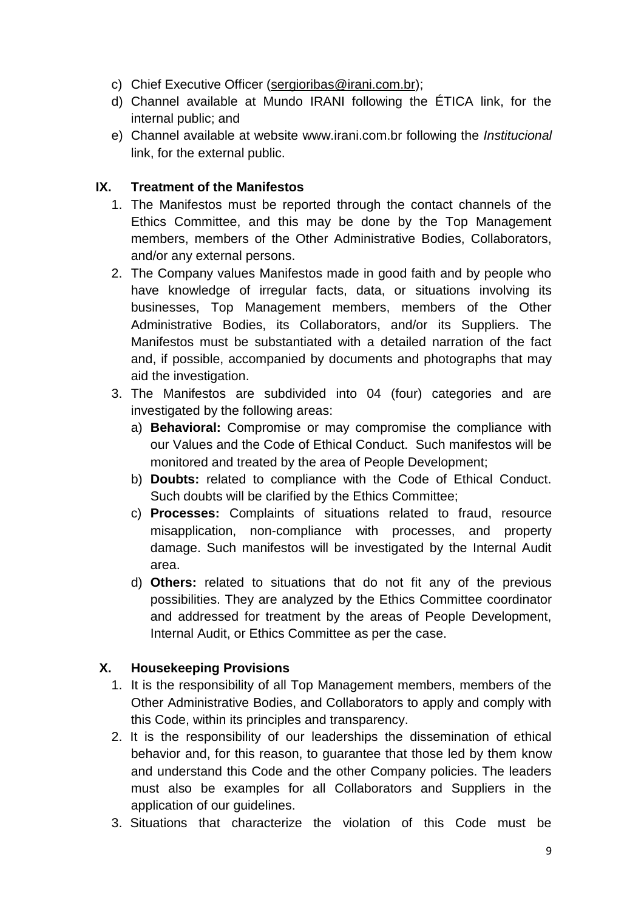- c) Chief Executive Officer [\(sergioribas@irani.com.br\)](mailto:sergioribas@irani.com.br);
- d) Channel available at Mundo IRANI following the ÉTICA link, for the internal public; and
- e) Channel available at website [www.irani.com.br](http://www.irani.com.br/) following the *Institucional* link, for the external public.

### **IX. Treatment of the Manifestos**

- 1. The Manifestos must be reported through the contact channels of the Ethics Committee, and this may be done by the Top Management members, members of the Other Administrative Bodies, Collaborators, and/or any external persons.
- 2. The Company values Manifestos made in good faith and by people who have knowledge of irregular facts, data, or situations involving its businesses, Top Management members, members of the Other Administrative Bodies, its Collaborators, and/or its Suppliers. The Manifestos must be substantiated with a detailed narration of the fact and, if possible, accompanied by documents and photographs that may aid the investigation.
- 3. The Manifestos are subdivided into 04 (four) categories and are investigated by the following areas:
	- a) **Behavioral:** Compromise or may compromise the compliance with our Values and the Code of Ethical Conduct. Such manifestos will be monitored and treated by the area of People Development;
	- b) **Doubts:** related to compliance with the Code of Ethical Conduct. Such doubts will be clarified by the Ethics Committee;
	- c) **Processes:** Complaints of situations related to fraud, resource misapplication, non-compliance with processes, and property damage. Such manifestos will be investigated by the Internal Audit area.
	- d) **Others:** related to situations that do not fit any of the previous possibilities. They are analyzed by the Ethics Committee coordinator and addressed for treatment by the areas of People Development, Internal Audit, or Ethics Committee as per the case.

# **X. Housekeeping Provisions**

- 1. It is the responsibility of all Top Management members, members of the Other Administrative Bodies, and Collaborators to apply and comply with this Code, within its principles and transparency.
- 2. It is the responsibility of our leaderships the dissemination of ethical behavior and, for this reason, to guarantee that those led by them know and understand this Code and the other Company policies. The leaders must also be examples for all Collaborators and Suppliers in the application of our quidelines.
- 3. Situations that characterize the violation of this Code must be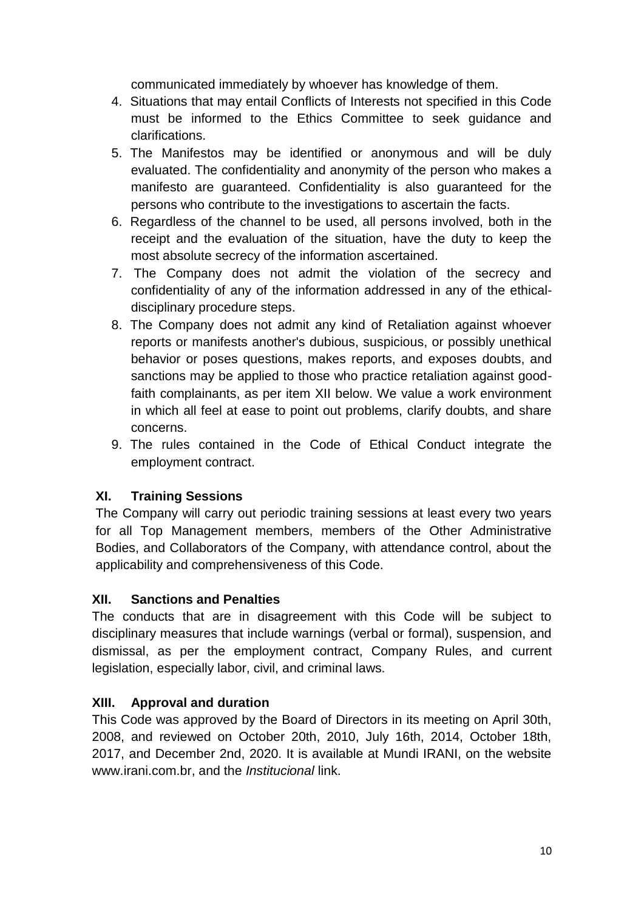communicated immediately by whoever has knowledge of them.

- 4. Situations that may entail Conflicts of Interests not specified in this Code must be informed to the Ethics Committee to seek guidance and clarifications.
- 5. The Manifestos may be identified or anonymous and will be duly evaluated. The confidentiality and anonymity of the person who makes a manifesto are guaranteed. Confidentiality is also guaranteed for the persons who contribute to the investigations to ascertain the facts.
- 6. Regardless of the channel to be used, all persons involved, both in the receipt and the evaluation of the situation, have the duty to keep the most absolute secrecy of the information ascertained.
- 7. The Company does not admit the violation of the secrecy and confidentiality of any of the information addressed in any of the ethicaldisciplinary procedure steps.
- 8. The Company does not admit any kind of Retaliation against whoever reports or manifests another's dubious, suspicious, or possibly unethical behavior or poses questions, makes reports, and exposes doubts, and sanctions may be applied to those who practice retaliation against goodfaith complainants, as per item XII below. We value a work environment in which all feel at ease to point out problems, clarify doubts, and share concerns.
- 9. The rules contained in the Code of Ethical Conduct integrate the employment contract.

# **XI. Training Sessions**

The Company will carry out periodic training sessions at least every two years for all Top Management members, members of the Other Administrative Bodies, and Collaborators of the Company, with attendance control, about the applicability and comprehensiveness of this Code.

# **XII. Sanctions and Penalties**

The conducts that are in disagreement with this Code will be subject to disciplinary measures that include warnings (verbal or formal), suspension, and dismissal, as per the employment contract, Company Rules, and current legislation, especially labor, civil, and criminal laws.

# **XIII. Approval and duration**

This Code was approved by the Board of Directors in its meeting on April 30th, 2008, and reviewed on October 20th, 2010, July 16th, 2014, October 18th, 2017, and December 2nd, 2020. It is available at Mundi IRANI, on the website www.irani.com.br, and the *Institucional* link.